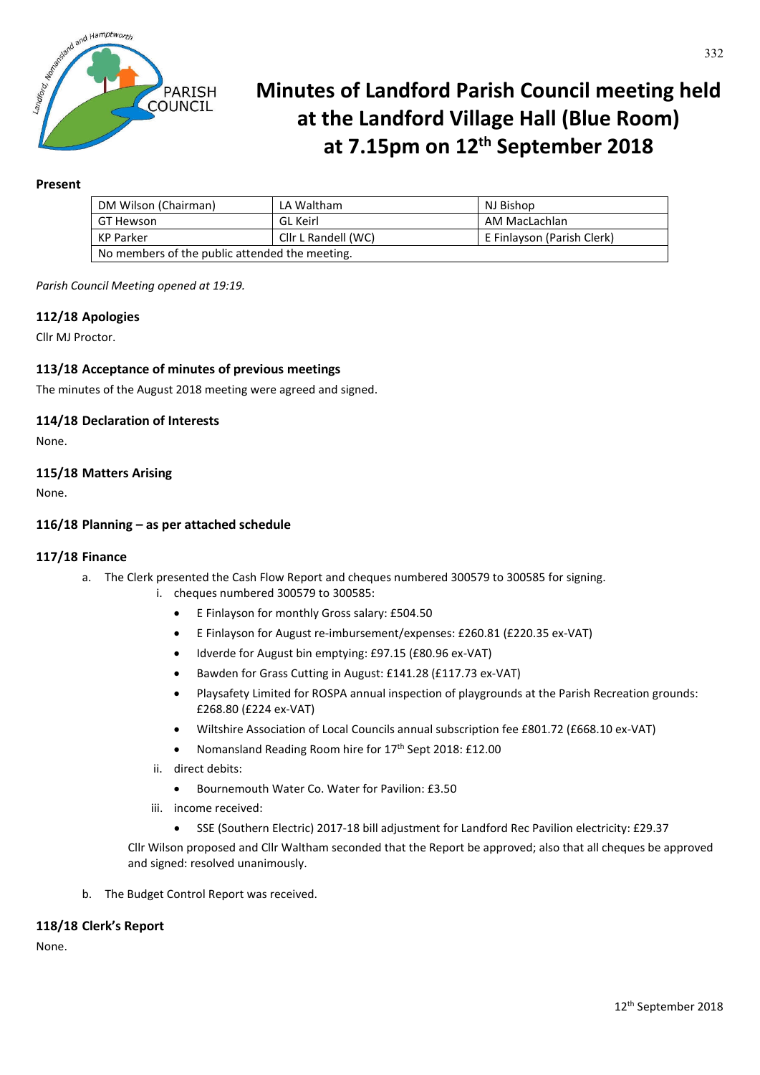

# **Minutes of Landford Parish Council meeting held at the Landford Village Hall (Blue Room) at 7.15pm on 12th September 2018**

## **Present**

| DM Wilson (Chairman)                           | LA Waltham          | NJ Bishop                  |
|------------------------------------------------|---------------------|----------------------------|
| GT Hewson                                      | GL Keirl            | AM MacLachlan              |
| KP Parker                                      | Cllr L Randell (WC) | E Finlayson (Parish Clerk) |
| No members of the public attended the meeting. |                     |                            |

*Parish Council Meeting opened at 19:19.*

## **112/18 Apologies**

Cllr MJ Proctor.

## **113/18 Acceptance of minutes of previous meetings**

The minutes of the August 2018 meeting were agreed and signed.

#### **114/18 Declaration of Interests**

None.

## **115/18 Matters Arising**

None.

## **116/18 Planning – as per attached schedule**

#### **117/18 Finance**

- a. The Clerk presented the Cash Flow Report and cheques numbered 300579 to 300585 for signing.
	- i. cheques numbered 300579 to 300585:
		- E Finlayson for monthly Gross salary: £504.50
		- E Finlayson for August re-imbursement/expenses: £260.81 (£220.35 ex-VAT)
		- Idverde for August bin emptying: £97.15 (£80.96 ex-VAT)
		- Bawden for Grass Cutting in August: £141.28 (£117.73 ex-VAT)
		- Playsafety Limited for ROSPA annual inspection of playgrounds at the Parish Recreation grounds: £268.80 (£224 ex-VAT)
		- Wiltshire Association of Local Councils annual subscription fee £801.72 (£668.10 ex-VAT)
		- Nomansland Reading Room hire for 17th Sept 2018: £12.00
	- ii. direct debits:
		- Bournemouth Water Co. Water for Pavilion: £3.50
	- iii. income received:
		- SSE (Southern Electric) 2017-18 bill adjustment for Landford Rec Pavilion electricity: £29.37

Cllr Wilson proposed and Cllr Waltham seconded that the Report be approved; also that all cheques be approved and signed: resolved unanimously.

b. The Budget Control Report was received.

#### **118/18 Clerk's Report**

None.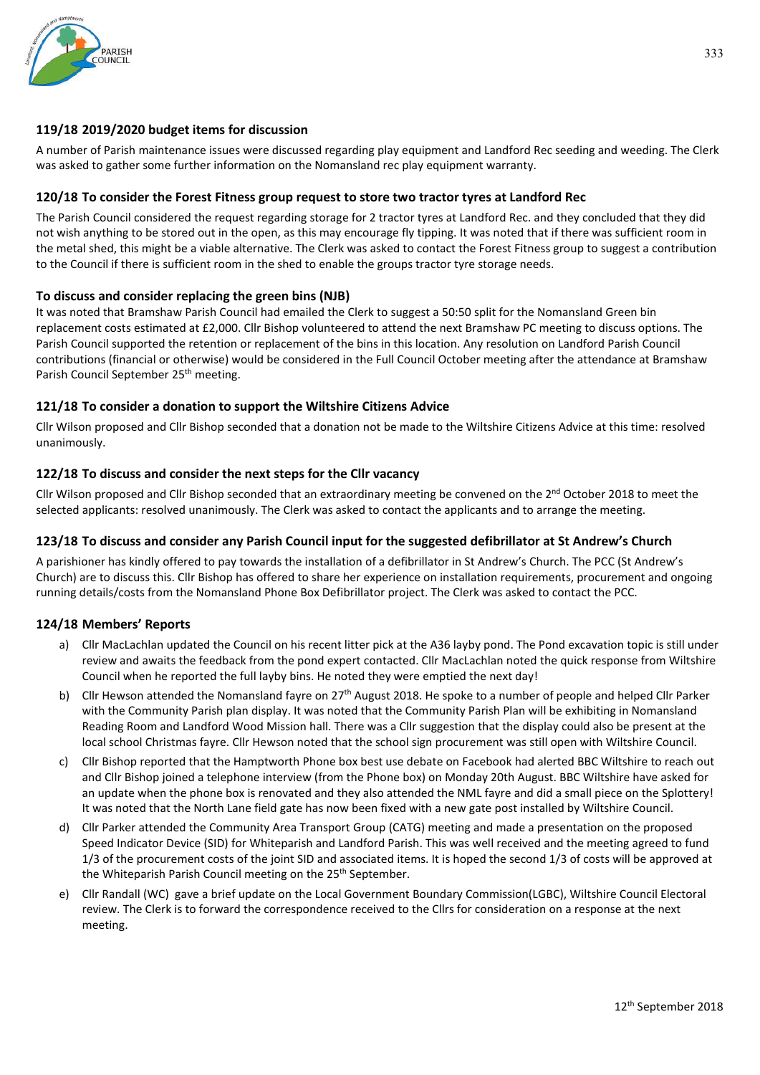

## **119/18 2019/2020 budget items for discussion**

A number of Parish maintenance issues were discussed regarding play equipment and Landford Rec seeding and weeding. The Clerk was asked to gather some further information on the Nomansland rec play equipment warranty.

## **120/18 To consider the Forest Fitness group request to store two tractor tyres at Landford Rec**

The Parish Council considered the request regarding storage for 2 tractor tyres at Landford Rec. and they concluded that they did not wish anything to be stored out in the open, as this may encourage fly tipping. It was noted that if there was sufficient room in the metal shed, this might be a viable alternative. The Clerk was asked to contact the Forest Fitness group to suggest a contribution to the Council if there is sufficient room in the shed to enable the groups tractor tyre storage needs.

## **To discuss and consider replacing the green bins (NJB)**

It was noted that Bramshaw Parish Council had emailed the Clerk to suggest a 50:50 split for the Nomansland Green bin replacement costs estimated at £2,000. Cllr Bishop volunteered to attend the next Bramshaw PC meeting to discuss options. The Parish Council supported the retention or replacement of the bins in this location. Any resolution on Landford Parish Council contributions (financial or otherwise) would be considered in the Full Council October meeting after the attendance at Bramshaw Parish Council September 25<sup>th</sup> meeting.

## **121/18 To consider a donation to support the Wiltshire Citizens Advice**

Cllr Wilson proposed and Cllr Bishop seconded that a donation not be made to the Wiltshire Citizens Advice at this time: resolved unanimously.

## **122/18 To discuss and consider the next steps for the Cllr vacancy**

Cllr Wilson proposed and Cllr Bishop seconded that an extraordinary meeting be convened on the  $2^{nd}$  October 2018 to meet the selected applicants: resolved unanimously. The Clerk was asked to contact the applicants and to arrange the meeting.

## **123/18 To discuss and consider any Parish Council input for the suggested defibrillator at St Andrew's Church**

A parishioner has kindly offered to pay towards the installation of a defibrillator in St Andrew's Church. The PCC (St Andrew's Church) are to discuss this. Cllr Bishop has offered to share her experience on installation requirements, procurement and ongoing running details/costs from the Nomansland Phone Box Defibrillator project. The Clerk was asked to contact the PCC.

## **124/18 Members' Reports**

- a) Cllr MacLachlan updated the Council on his recent litter pick at the A36 layby pond. The Pond excavation topic is still under review and awaits the feedback from the pond expert contacted. Cllr MacLachlan noted the quick response from Wiltshire Council when he reported the full layby bins. He noted they were emptied the next day!
- b) Cllr Hewson attended the Nomansland fayre on  $27<sup>th</sup>$  August 2018. He spoke to a number of people and helped Cllr Parker with the Community Parish plan display. It was noted that the Community Parish Plan will be exhibiting in Nomansland Reading Room and Landford Wood Mission hall. There was a Cllr suggestion that the display could also be present at the local school Christmas fayre. Cllr Hewson noted that the school sign procurement was still open with Wiltshire Council.
- c) Cllr Bishop reported that the Hamptworth Phone box best use debate on Facebook had alerted BBC Wiltshire to reach out and Cllr Bishop joined a telephone interview (from the Phone box) on Monday 20th August. BBC Wiltshire have asked for an update when the phone box is renovated and they also attended the NML fayre and did a small piece on the Splottery! It was noted that the North Lane field gate has now been fixed with a new gate post installed by Wiltshire Council.
- d) Cllr Parker attended the Community Area Transport Group (CATG) meeting and made a presentation on the proposed Speed Indicator Device (SID) for Whiteparish and Landford Parish. This was well received and the meeting agreed to fund 1/3 of the procurement costs of the joint SID and associated items. It is hoped the second 1/3 of costs will be approved at the Whiteparish Parish Council meeting on the 25<sup>th</sup> September.
- e) Cllr Randall (WC) gave a brief update on the Local Government Boundary Commission(LGBC), Wiltshire Council Electoral review. The Clerk is to forward the correspondence received to the Cllrs for consideration on a response at the next meeting.